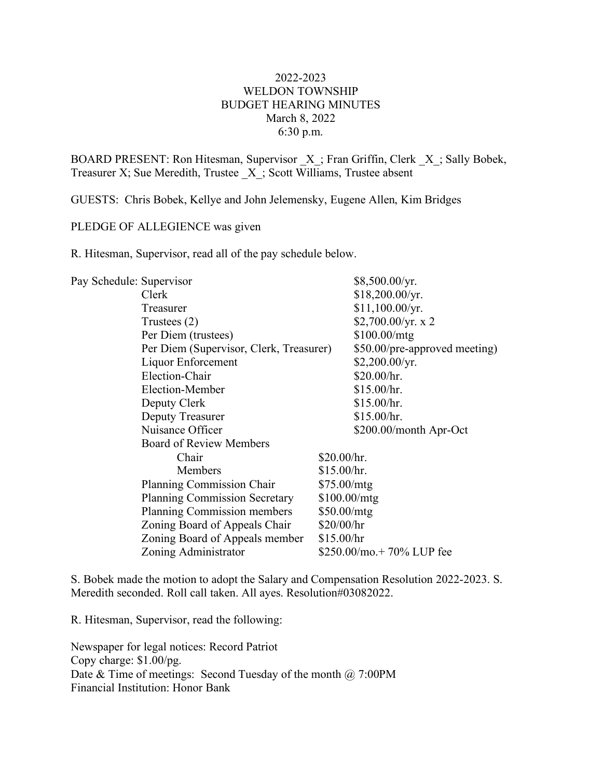## 2022-2023 WELDON TOWNSHIP BUDGET HEARING MINUTES March 8, 2022 6:30 p.m.

BOARD PRESENT: Ron Hitesman, Supervisor  $X$ ; Fran Griffin, Clerk  $X$ ; Sally Bobek, Treasurer X; Sue Meredith, Trustee \_X\_; Scott Williams, Trustee absent

GUESTS: Chris Bobek, Kellye and John Jelemensky, Eugene Allen, Kim Bridges

## PLEDGE OF ALLEGIENCE was given

R. Hitesman, Supervisor, read all of the pay schedule below.

| Pay Schedule: Supervisor |                                         |              | $$8,500.00/\text{yr}$ .       |
|--------------------------|-----------------------------------------|--------------|-------------------------------|
|                          | Clerk                                   |              | \$18,200.00/yr.               |
|                          | Treasurer                               |              | \$11,100.00/yr.               |
|                          | Trustees $(2)$                          |              | \$2,700.00/yr. x 2            |
|                          | Per Diem (trustees)                     |              | \$100.00/mtg                  |
|                          | Per Diem (Supervisor, Clerk, Treasurer) |              | \$50.00/pre-approved meeting) |
|                          | Liquor Enforcement                      |              | $$2,200.00/\text{yr}$ .       |
|                          | Election-Chair                          |              | \$20.00/hr.                   |
|                          | Election-Member                         |              | \$15.00/hr.                   |
|                          | Deputy Clerk                            |              | \$15.00/hr.                   |
|                          | Deputy Treasurer                        |              | \$15.00/hr.                   |
|                          | Nuisance Officer                        |              | \$200.00/month Apr-Oct        |
|                          | <b>Board of Review Members</b>          |              |                               |
|                          | Chair                                   | \$20.00/hr.  |                               |
|                          | Members                                 | \$15.00/hr.  |                               |
|                          | Planning Commission Chair               | \$75.00/mtg  |                               |
|                          | <b>Planning Commission Secretary</b>    | \$100.00/mtg |                               |
|                          | Planning Commission members             | \$50.00/mtg  |                               |
|                          | Zoning Board of Appeals Chair           | \$20/00/hr   |                               |
|                          | Zoning Board of Appeals member          | \$15.00/hr   |                               |
|                          | Zoning Administrator                    |              | $$250.00/mo.+70\%$ LUP fee    |

S. Bobek made the motion to adopt the Salary and Compensation Resolution 2022-2023. S. Meredith seconded. Roll call taken. All ayes. Resolution#03082022.

R. Hitesman, Supervisor, read the following:

Newspaper for legal notices: Record Patriot Copy charge: \$1.00/pg. Date  $&$  Time of meetings: Second Tuesday of the month  $@$  7:00PM Financial Institution: Honor Bank